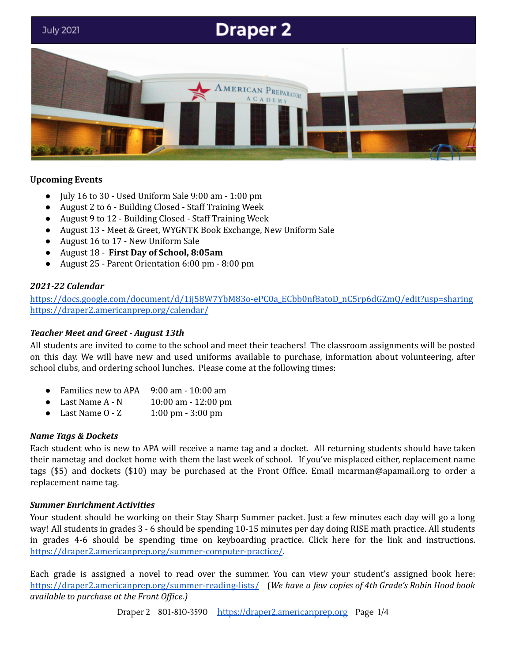

## **Upcoming Events**

- July 16 to 30 Used Uniform Sale 9:00 am 1:00 pm
- August 2 to 6 Building Closed Staff Training Week
- August 9 to 12 Building Closed Staff Training Week
- August 13 Meet & Greet, WYGNTK Book Exchange, New Uniform Sale
- August 16 to 17 New Uniform Sale
- August 18 **First Day of School, 8:05am**
- August 25 Parent Orientation 6:00 pm 8:00 pm

#### *2021-22 Calendar*

[https://docs.google.com/document/d/1ij58W7YbM83o-ePC0a\\_ECbb0nf8atoD\\_nC5rp6dGZmQ/edit?usp=sharing](https://docs.google.com/document/d/1ij58W7YbM83o-ePC0a_ECbb0nf8atoD_nC5rp6dGZmQ/edit?usp=sharing) <https://draper2.americanprep.org/calendar/>

#### *Teacher Meet and Greet - August 13th*

All students are invited to come to the school and meet their teachers! The classroom assignments will be posted on this day. We will have new and used uniforms available to purchase, information about volunteering, after school clubs, and ordering school lunches. Please come at the following times:

- Families new to APA  $9:00$  am 10:00 am
- Last Name A N 10:00 am 12:00 pm
- Last Name 0 Z 1:00 pm 3:00 pm

#### *Name Tags & Dockets*

Each student who is new to APA will receive a name tag and a docket. All returning students should have taken their nametag and docket home with them the last week of school. If you've misplaced either, replacement name tags (\$5) and dockets (\$10) may be purchased at the Front Office. Email mcarman@apamail.org to order a replacement name tag.

#### *Summer Enrichment Activities*

Your student should be working on their Stay Sharp Summer packet. Just a few minutes each day will go a long way! All students in grades 3 - 6 should be spending 10-15 minutes per day doing RISE math practice. All students in grades 4-6 should be spending time on keyboarding practice. Click here for the link and instructions. <https://draper2.americanprep.org/summer-computer-practice/>.

Each grade is assigned a novel to read over the summer. You can view your student's assigned book here: <https://draper2.americanprep.org/summer-reading-lists/> (*We have a few copies of 4th Grade's Robin Hood book available to purchase at the Front Of ice.)*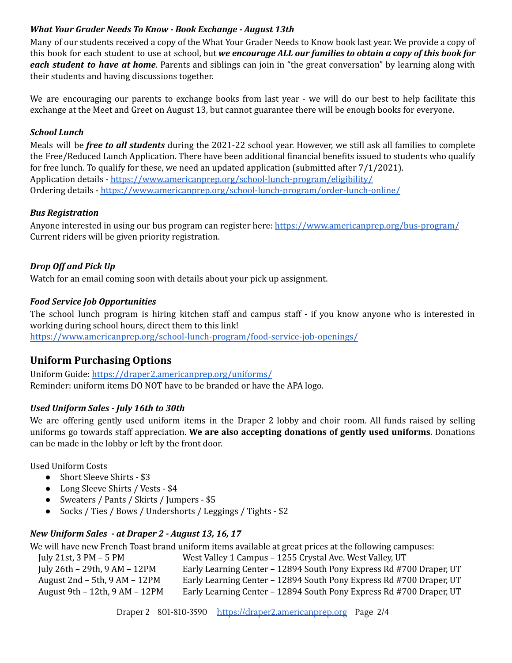## *What Your Grader Needs To Know - Book Exchange - August 13th*

Many of our students received a copy of the What Your Grader Needs to Know book last year. We provide a copy of this book for each student to use at school, but *we encourage ALL our families to obtain a copy of this book for each student to have at home*. Parents and siblings can join in "the great conversation" by learning along with their students and having discussions together.

We are encouraging our parents to exchange books from last year - we will do our best to help facilitate this exchange at the Meet and Greet on August 13, but cannot guarantee there will be enough books for everyone.

## *School Lunch*

Meals will be *free to all students* during the 2021-22 school year. However, we still ask all families to complete the Free/Reduced Lunch Application. There have been additional financial benefits issued to students who qualify for free lunch. To qualify for these, we need an updated application (submitted after 7/1/2021). Application details - <https://www.americanprep.org/school-lunch-program/eligibility/> Ordering details - <https://www.americanprep.org/school-lunch-program/order-lunch-online/>

#### *Bus Registration*

Anyone interested in using our bus program can register here: <https://www.americanprep.org/bus-program/> Current riders will be given priority registration.

## *Drop Off and Pick Up*

Watch for an email coming soon with details about your pick up assignment.

## *Food Service Job Opportunities*

The school lunch program is hiring kitchen staff and campus staff - if you know anyone who is interested in working during school hours, direct them to this link! <https://www.americanprep.org/school-lunch-program/food-service-job-openings/>

## **Uniform Purchasing Options**

Uniform Guide: <https://draper2.americanprep.org/uniforms/> Reminder: uniform items DO NOT have to be branded or have the APA logo.

## *Used Uniform Sales - July 16th to 30th*

We are offering gently used uniform items in the Draper 2 lobby and choir room. All funds raised by selling uniforms go towards staff appreciation. **We are also accepting donations of gently used uniforms**. Donations can be made in the lobby or left by the front door.

Used Uniform Costs

- Short Sleeve Shirts \$3
- Long Sleeve Shirts / Vests \$4
- Sweaters / Pants / Skirts / Jumpers \$5
- Socks / Ties / Bows / Undershorts / Leggings / Tights \$2

## *New Uniform Sales - at Draper 2 - August 13, 16, 17*

We will have new French Toast brand uniform items available at great prices at the following campuses:

| July 21st, $3 PM - 5 PM$           | West Valley 1 Campus - 1255 Crystal Ave. West Valley, UT            |
|------------------------------------|---------------------------------------------------------------------|
| July 26th – 29th, 9 AM – 12PM      | Early Learning Center - 12894 South Pony Express Rd #700 Draper, UT |
| August $2nd - 5th$ , $9AM - 12PM$  | Early Learning Center - 12894 South Pony Express Rd #700 Draper, UT |
| August 9th $-12$ th, 9 AM $-12$ PM | Early Learning Center - 12894 South Pony Express Rd #700 Draper, UT |
|                                    |                                                                     |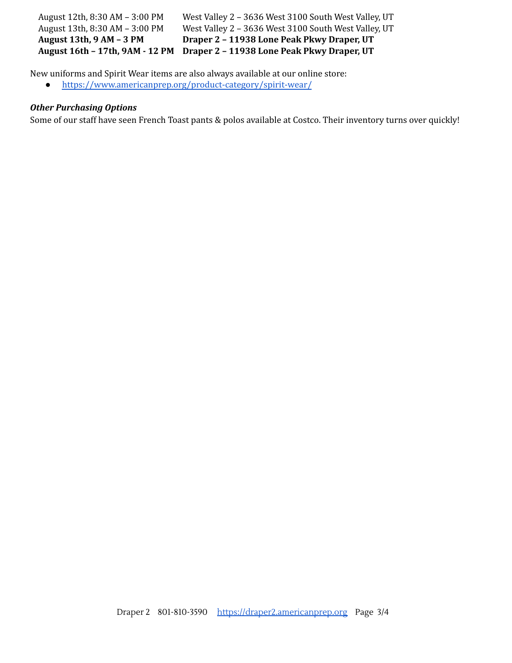August 12th, 8:30 AM – 3:00 PM West Valley 2 – 3636 West 3100 South West Valley, UT August 13th, 8:30 AM – 3:00 PM West Valley 2 – 3636 West 3100 South West Valley, UT **August 13th, 9 AM – 3 PM Draper 2 – 11938 Lone Peak Pkwy Draper, UT August 16th – 17th, 9AM - 12 PM Draper 2 – 11938 Lone Peak Pkwy Draper, UT**

New uniforms and Spirit Wear items are also always available at our online store:

● <https://www.americanprep.org/product-category/spirit-wear/>

#### *Other Purchasing Options*

Some of our staff have seen French Toast pants & polos available at Costco. Their inventory turns over quickly!